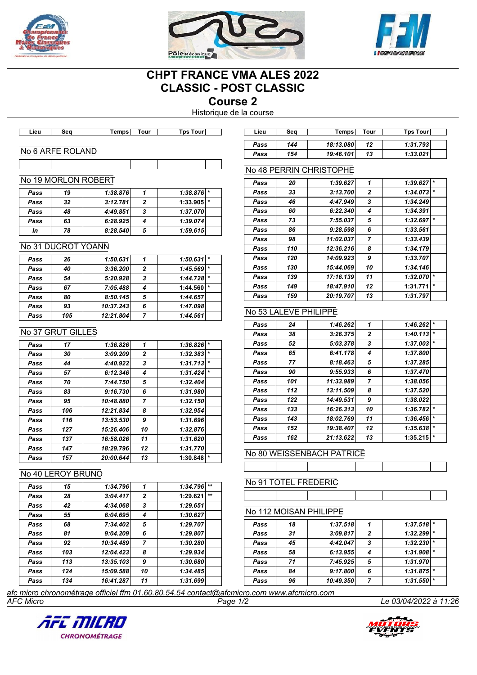





## **CHPT FRANCE VMA ALES 2022 CLASSIC - POST CLASSIC**

**Course 2**

Historique de la course

| Lieu | 50 D.<br>ж | remps | <b>four</b> | Tour<br><b>F</b> ps | ∟ieư | Seo | <b>Temps</b> | Tour | Гps<br><b>TOU'</b> |
|------|------------|-------|-------------|---------------------|------|-----|--------------|------|--------------------|
|      |            |       |             |                     |      |     |              |      |                    |

#### No 6 ARFE ROLAND

## No 19 MORLON ROBERT

| Pass | 19 | 1:38.876 |   | $1:38.876$ * |  |
|------|----|----------|---|--------------|--|
| Pass | 32 | 3:12.781 |   | $1:33.905$ * |  |
| Pass | 48 | 4:49.851 | 3 | 1:37.070     |  |
| Pass | 63 | 6:28.925 |   | 1:39.074     |  |
| In   | 78 | 8:28.540 | 5 | 1:59.615     |  |
|      |    |          |   |              |  |

#### No 31 DUCROT YOANN

| Pass | 26  | 1:50.631  |   | $1:50.631$ * |     |
|------|-----|-----------|---|--------------|-----|
| Pass | 40  | 3:36.200  | 2 | 1:45.569     | l ÷ |
| Pass | 54  | 5:20.928  | 3 | $1:44.728$ * |     |
| Pass | 67  | 7:05.488  |   | 1:44.560     |     |
| Pass | 80  | 8:50.145  | 5 | 1:44.657     |     |
| Pass | 93  | 10:37.243 | 6 | 1:47.098     |     |
| Pass | 105 | 12:21.804 |   | 1:44.561     |     |

#### No 37 GRUT GILLES

| Pass | 17  | 1:36.826  | 1  | 1:36.826 | $\star$ |
|------|-----|-----------|----|----------|---------|
| Pass | 30  | 3:09.209  | 2  | 1:32.383 | $\star$ |
| Pass | 44  | 4:40.922  | 3  | 1:31.713 | $\star$ |
| Pass | 57  | 6:12.346  | 4  | 1:31.424 | $\star$ |
| Pass | 70  | 7:44.750  | 5  | 1:32.404 |         |
| Pass | 83  | 9:16.730  | 6  | 1:31.980 |         |
| Pass | 95  | 10:48.880 | 7  | 1:32.150 |         |
| Pass | 106 | 12:21.834 | 8  | 1:32.954 |         |
| Pass | 116 | 13:53.530 | 9  | 1:31.696 |         |
| Pass | 127 | 15:26.406 | 10 | 1:32.876 |         |
| Pass | 137 | 16:58.026 | 11 | 1:31.620 |         |
| Pass | 147 | 18:29.796 | 12 | 1:31.770 |         |
| Pass | 157 | 20:00.644 | 13 | 1:30.848 | *       |

#### No 40 LEROY BRUNO

| Pass | 15  | 1:34.796  | 1              | $***$<br>1:34.796 |
|------|-----|-----------|----------------|-------------------|
| Pass | 28  | 3:04.417  | $\mathbf{z}$   | $***$<br>1:29.621 |
| Pass | 42  | 4:34.068  | 3              | 1:29.651          |
| Pass | 55  | 6:04.695  | 4              | 1:30.627          |
| Pass | 68  | 7:34.402  | 5              | 1:29.707          |
| Pass | 81  | 9:04.209  | 6              | 1:29.807          |
| Pass | 92  | 10:34.489 | $\overline{7}$ | 1:30.280          |
| Pass | 103 | 12:04.423 | 8              | 1:29.934          |
| Pass | 113 | 13:35.103 | 9              | 1:30.680          |
| Pass | 124 | 15:09.588 | 10             | 1:34.485          |
| Pass | 134 | 16:41.287 | 11             | 1:31.699          |

| Lieu | Sea | Temps     | Tour | Tps Tourl |
|------|-----|-----------|------|-----------|
| Pass | 144 | 18:13.080 | 12   | 1:31.793  |
| Pass | 154 | 19:46.101 | 13   | 1:33.021  |

#### No 48 PERRIN CHRISTOPHE

| 1<br>1:39.627<br>1:39.627<br>20<br>Pass<br>3:13.700<br>2<br>33<br>1:34.073<br>Pass<br>3<br>4:47.949<br>46<br>1:34.249<br>Pass<br>6:22.340<br>1:34.391<br>60<br>4<br>Pass<br>7:55.037<br>5<br>1:32.697<br>73<br>Pass<br>9:28.598<br>6<br>1:33.561<br>86<br>Pass<br>11:02.037<br>$\overline{7}$<br>1:33.439<br>98<br>Pass<br>8<br>110<br>12:36.216<br>1:34.179<br>Pass<br>9<br>1:33.707<br>14:09.923<br>120<br>Pass<br>10<br>15:44.069<br>1:34.146<br>130<br>Pass<br>11<br>17:16.139<br>1:32.070<br>139<br>Pass |         |
|---------------------------------------------------------------------------------------------------------------------------------------------------------------------------------------------------------------------------------------------------------------------------------------------------------------------------------------------------------------------------------------------------------------------------------------------------------------------------------------------------------------|---------|
|                                                                                                                                                                                                                                                                                                                                                                                                                                                                                                               | $\star$ |
|                                                                                                                                                                                                                                                                                                                                                                                                                                                                                                               | $\star$ |
|                                                                                                                                                                                                                                                                                                                                                                                                                                                                                                               |         |
|                                                                                                                                                                                                                                                                                                                                                                                                                                                                                                               |         |
|                                                                                                                                                                                                                                                                                                                                                                                                                                                                                                               | $\star$ |
|                                                                                                                                                                                                                                                                                                                                                                                                                                                                                                               |         |
|                                                                                                                                                                                                                                                                                                                                                                                                                                                                                                               |         |
|                                                                                                                                                                                                                                                                                                                                                                                                                                                                                                               |         |
|                                                                                                                                                                                                                                                                                                                                                                                                                                                                                                               |         |
|                                                                                                                                                                                                                                                                                                                                                                                                                                                                                                               |         |
|                                                                                                                                                                                                                                                                                                                                                                                                                                                                                                               | $\star$ |
| 1:31.771<br>18:47.910<br>12<br>149<br>Pass                                                                                                                                                                                                                                                                                                                                                                                                                                                                    | $\star$ |
| 20:19.707<br>13<br>159<br>1:31.797<br>Pass                                                                                                                                                                                                                                                                                                                                                                                                                                                                    |         |

## No 53 LALEVE PHILIPPE

| Pass | 24  | 1:46.262  | 1            | 1:46.262 | $\star$ |
|------|-----|-----------|--------------|----------|---------|
| Pass | 38  | 3:26.375  | $\mathbf{2}$ | 1:40.113 | $\star$ |
| Pass | 52  | 5:03.378  | 3            | 1:37.003 | $\star$ |
| Pass | 65  | 6:41.178  | 4            | 1:37.800 |         |
| Pass | 77  | 8:18.463  | 5            | 1:37.285 |         |
| Pass | 90  | 9:55.933  | 6            | 1:37.470 |         |
| Pass | 101 | 11:33.989 | 7            | 1:38.056 |         |
| Pass | 112 | 13:11.509 | 8            | 1:37.520 |         |
| Pass | 122 | 14:49.531 | 9            | 1:38.022 |         |
| Pass | 133 | 16:26.313 | 10           | 1:36.782 | $\star$ |
| Pass | 143 | 18:02.769 | 11           | 1:36.456 | $\star$ |
| Pass | 152 | 19:38.407 | 12           | 1:35.638 | $\star$ |
| Pass | 162 | 21:13.622 | 13           | 1:35.215 | $\star$ |

No 80 WEISSENBACH PATRICE

# No 91 TOTEL FREDERIC

#### No 112 MOISAN PHILIPPE

| Pass | 18 | 1:37.518  |                | $1:37.518$ <sup>*</sup> |  |
|------|----|-----------|----------------|-------------------------|--|
| Pass | 31 | 3:09.817  | $\overline{2}$ | 1:32.299                |  |
| Pass | 45 | 4:42.047  | 3              | 1:32.230                |  |
| Pass | 58 | 6:13.955  |                | $1:31.908$ <sup>*</sup> |  |
| Pass | 71 | 7:45.925  | 5              | 1:31.970                |  |
| Pass | 84 | 9:17.800  | 6              | $1:31.875$ *            |  |
| Pass | 96 | 10:49.350 | 7              | 1:31.550                |  |

*AFC Micro Page 1/2 Le 03/04/2022 à 11:26 afc micro chronométrage officiel ffm 01.60.80.54.54 contact@afcmicro.com www.afcmicro.com*